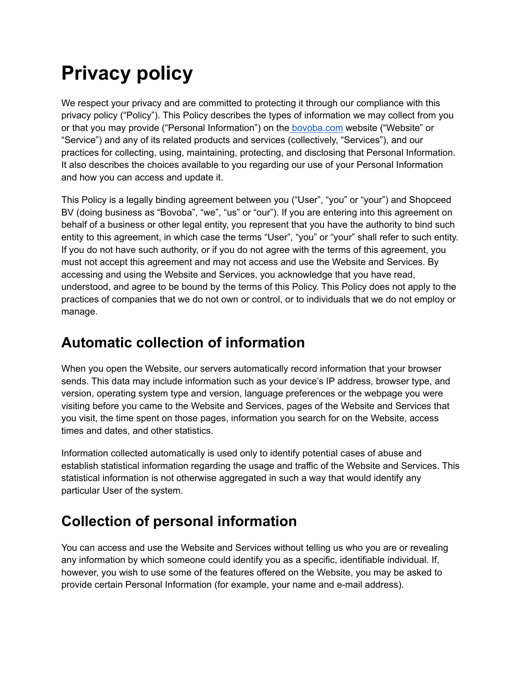# **Privacy policy**

We respect your privacy and are committed to protecting it through our compliance with this privacy policy ("Policy"). This Policy describes the types of information we may collect from you or that you may provide ("Personal Information") on the [bovoba.com](https://www.bovoba.com) website ("Website" or "Service") and any of its related products and services (collectively, "Services"), and our practices for collecting, using, maintaining, protecting, and disclosing that Personal Information. It also describes the choices available to you regarding our use of your Personal Information and how you can access and update it.

This Policy is a legally binding agreement between you ("User", "you" or "your") and Shopceed BV (doing business as "Bovoba", "we", "us" or "our"). If you are entering into this agreement on behalf of a business or other legal entity, you represent that you have the authority to bind such entity to this agreement, in which case the terms "User", "you" or "your" shall refer to such entity. If you do not have such authority, or if you do not agree with the terms of this agreement, you must not accept this agreement and may not access and use the Website and Services. By accessing and using the Website and Services, you acknowledge that you have read, understood, and agree to be bound by the terms of this Policy. This Policy does not apply to the practices of companies that we do not own or control, or to individuals that we do not employ or manage.

# **Automatic collection of information**

When you open the Website, our servers automatically record information that your browser sends. This data may include information such as your device's IP address, browser type, and version, operating system type and version, language preferences or the webpage you were visiting before you came to the Website and Services, pages of the Website and Services that you visit, the time spent on those pages, information you search for on the Website, access times and dates, and other statistics.

Information collected automatically is used only to identify potential cases of abuse and establish statistical information regarding the usage and traffic of the Website and Services. This statistical information is not otherwise aggregated in such a way that would identify any particular User of the system.

# **Collection of personal information**

You can access and use the Website and Services without telling us who you are or revealing any information by which someone could identify you as a specific, identifiable individual. If, however, you wish to use some of the features offered on the Website, you may be asked to provide certain Personal Information (for example, your name and e-mail address).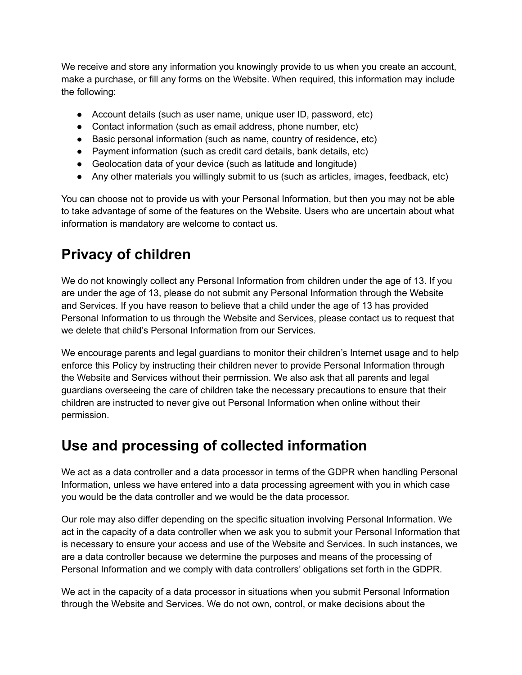We receive and store any information you knowingly provide to us when you create an account, make a purchase, or fill any forms on the Website. When required, this information may include the following:

- Account details (such as user name, unique user ID, password, etc)
- Contact information (such as email address, phone number, etc)
- Basic personal information (such as name, country of residence, etc)
- Payment information (such as credit card details, bank details, etc)
- Geolocation data of your device (such as latitude and longitude)
- Any other materials you willingly submit to us (such as articles, images, feedback, etc)

You can choose not to provide us with your Personal Information, but then you may not be able to take advantage of some of the features on the Website. Users who are uncertain about what information is mandatory are welcome to contact us.

#### **Privacy of children**

We do not knowingly collect any Personal Information from children under the age of 13. If you are under the age of 13, please do not submit any Personal Information through the Website and Services. If you have reason to believe that a child under the age of 13 has provided Personal Information to us through the Website and Services, please contact us to request that we delete that child's Personal Information from our Services.

We encourage parents and legal guardians to monitor their children's Internet usage and to help enforce this Policy by instructing their children never to provide Personal Information through the Website and Services without their permission. We also ask that all parents and legal guardians overseeing the care of children take the necessary precautions to ensure that their children are instructed to never give out Personal Information when online without their permission.

#### **Use and processing of collected information**

We act as a data controller and a data processor in terms of the GDPR when handling Personal Information, unless we have entered into a data processing agreement with you in which case you would be the data controller and we would be the data processor.

Our role may also differ depending on the specific situation involving Personal Information. We act in the capacity of a data controller when we ask you to submit your Personal Information that is necessary to ensure your access and use of the Website and Services. In such instances, we are a data controller because we determine the purposes and means of the processing of Personal Information and we comply with data controllers' obligations set forth in the GDPR.

We act in the capacity of a data processor in situations when you submit Personal Information through the Website and Services. We do not own, control, or make decisions about the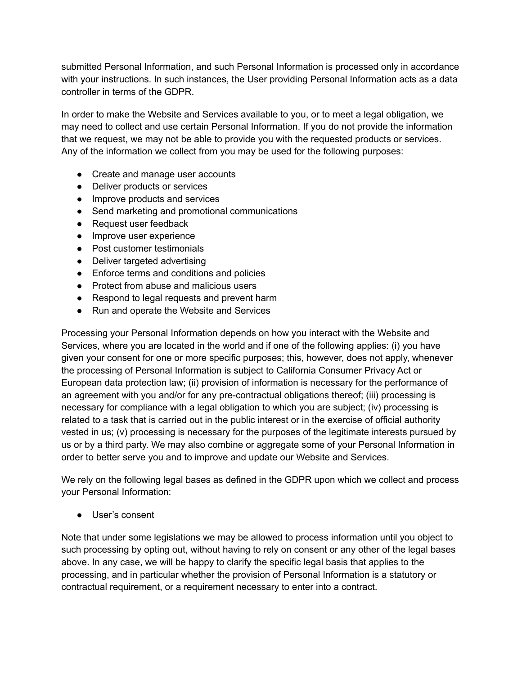submitted Personal Information, and such Personal Information is processed only in accordance with your instructions. In such instances, the User providing Personal Information acts as a data controller in terms of the GDPR.

In order to make the Website and Services available to you, or to meet a legal obligation, we may need to collect and use certain Personal Information. If you do not provide the information that we request, we may not be able to provide you with the requested products or services. Any of the information we collect from you may be used for the following purposes:

- Create and manage user accounts
- Deliver products or services
- Improve products and services
- Send marketing and promotional communications
- Request user feedback
- Improve user experience
- Post customer testimonials
- Deliver targeted advertising
- Enforce terms and conditions and policies
- Protect from abuse and malicious users
- Respond to legal requests and prevent harm
- Run and operate the Website and Services

Processing your Personal Information depends on how you interact with the Website and Services, where you are located in the world and if one of the following applies: (i) you have given your consent for one or more specific purposes; this, however, does not apply, whenever the processing of Personal Information is subject to California Consumer Privacy Act or European data protection law; (ii) provision of information is necessary for the performance of an agreement with you and/or for any pre-contractual obligations thereof; (iii) processing is necessary for compliance with a legal obligation to which you are subject; (iv) processing is related to a task that is carried out in the public interest or in the exercise of official authority vested in us; (v) processing is necessary for the purposes of the legitimate interests pursued by us or by a third party. We may also combine or aggregate some of your Personal Information in order to better serve you and to improve and update our Website and Services.

We rely on the following legal bases as defined in the GDPR upon which we collect and process your Personal Information:

● User's consent

Note that under some legislations we may be allowed to process information until you object to such processing by opting out, without having to rely on consent or any other of the legal bases above. In any case, we will be happy to clarify the specific legal basis that applies to the processing, and in particular whether the provision of Personal Information is a statutory or contractual requirement, or a requirement necessary to enter into a contract.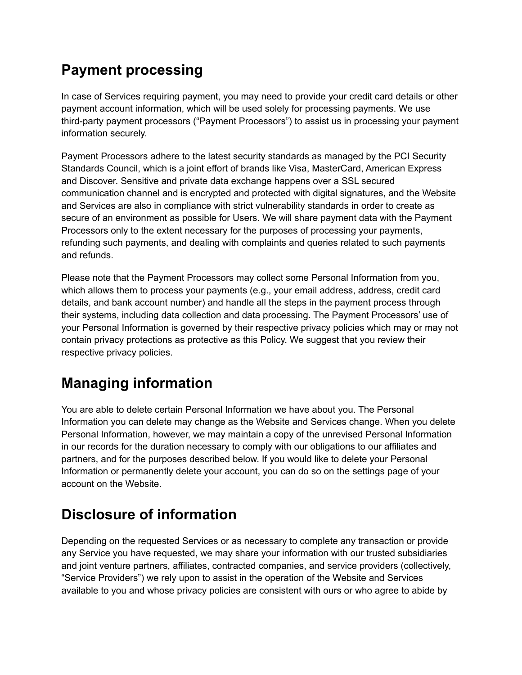#### **Payment processing**

In case of Services requiring payment, you may need to provide your credit card details or other payment account information, which will be used solely for processing payments. We use third-party payment processors ("Payment Processors") to assist us in processing your payment information securely.

Payment Processors adhere to the latest security standards as managed by the PCI Security Standards Council, which is a joint effort of brands like Visa, MasterCard, American Express and Discover. Sensitive and private data exchange happens over a SSL secured communication channel and is encrypted and protected with digital signatures, and the Website and Services are also in compliance with strict vulnerability standards in order to create as secure of an environment as possible for Users. We will share payment data with the Payment Processors only to the extent necessary for the purposes of processing your payments, refunding such payments, and dealing with complaints and queries related to such payments and refunds.

Please note that the Payment Processors may collect some Personal Information from you, which allows them to process your payments (e.g., your email address, address, credit card details, and bank account number) and handle all the steps in the payment process through their systems, including data collection and data processing. The Payment Processors' use of your Personal Information is governed by their respective privacy policies which may or may not contain privacy protections as protective as this Policy. We suggest that you review their respective privacy policies.

# **Managing information**

You are able to delete certain Personal Information we have about you. The Personal Information you can delete may change as the Website and Services change. When you delete Personal Information, however, we may maintain a copy of the unrevised Personal Information in our records for the duration necessary to comply with our obligations to our affiliates and partners, and for the purposes described below. If you would like to delete your Personal Information or permanently delete your account, you can do so on the settings page of your account on the Website.

# **Disclosure of information**

Depending on the requested Services or as necessary to complete any transaction or provide any Service you have requested, we may share your information with our trusted subsidiaries and joint venture partners, affiliates, contracted companies, and service providers (collectively, "Service Providers") we rely upon to assist in the operation of the Website and Services available to you and whose privacy policies are consistent with ours or who agree to abide by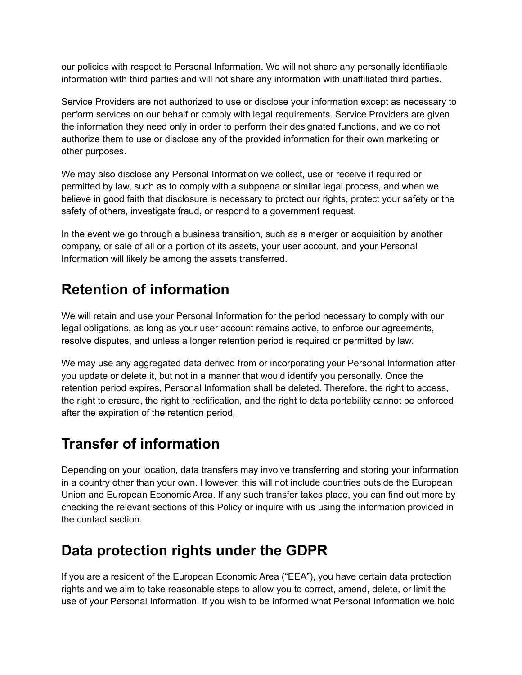our policies with respect to Personal Information. We will not share any personally identifiable information with third parties and will not share any information with unaffiliated third parties.

Service Providers are not authorized to use or disclose your information except as necessary to perform services on our behalf or comply with legal requirements. Service Providers are given the information they need only in order to perform their designated functions, and we do not authorize them to use or disclose any of the provided information for their own marketing or other purposes.

We may also disclose any Personal Information we collect, use or receive if required or permitted by law, such as to comply with a subpoena or similar legal process, and when we believe in good faith that disclosure is necessary to protect our rights, protect your safety or the safety of others, investigate fraud, or respond to a government request.

In the event we go through a business transition, such as a merger or acquisition by another company, or sale of all or a portion of its assets, your user account, and your Personal Information will likely be among the assets transferred.

#### **Retention of information**

We will retain and use your Personal Information for the period necessary to comply with our legal obligations, as long as your user account remains active, to enforce our agreements, resolve disputes, and unless a longer retention period is required or permitted by law.

We may use any aggregated data derived from or incorporating your Personal Information after you update or delete it, but not in a manner that would identify you personally. Once the retention period expires, Personal Information shall be deleted. Therefore, the right to access, the right to erasure, the right to rectification, and the right to data portability cannot be enforced after the expiration of the retention period.

#### **Transfer of information**

Depending on your location, data transfers may involve transferring and storing your information in a country other than your own. However, this will not include countries outside the European Union and European Economic Area. If any such transfer takes place, you can find out more by checking the relevant sections of this Policy or inquire with us using the information provided in the contact section.

#### **Data protection rights under the GDPR**

If you are a resident of the European Economic Area ("EEA"), you have certain data protection rights and we aim to take reasonable steps to allow you to correct, amend, delete, or limit the use of your Personal Information. If you wish to be informed what Personal Information we hold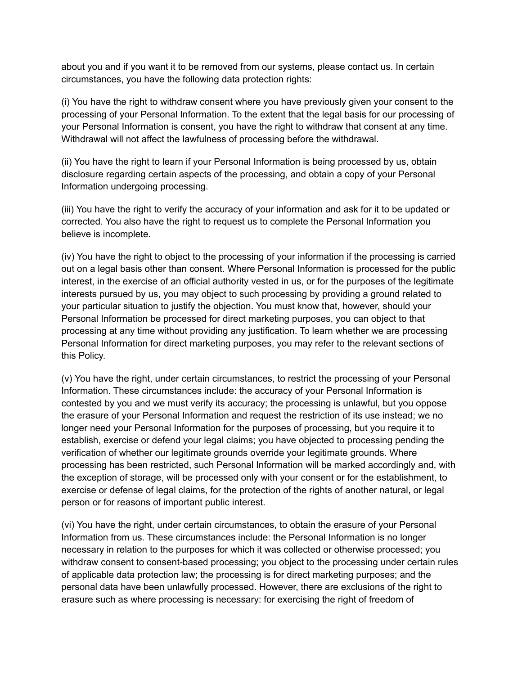about you and if you want it to be removed from our systems, please contact us. In certain circumstances, you have the following data protection rights:

(i) You have the right to withdraw consent where you have previously given your consent to the processing of your Personal Information. To the extent that the legal basis for our processing of your Personal Information is consent, you have the right to withdraw that consent at any time. Withdrawal will not affect the lawfulness of processing before the withdrawal.

(ii) You have the right to learn if your Personal Information is being processed by us, obtain disclosure regarding certain aspects of the processing, and obtain a copy of your Personal Information undergoing processing.

(iii) You have the right to verify the accuracy of your information and ask for it to be updated or corrected. You also have the right to request us to complete the Personal Information you believe is incomplete.

(iv) You have the right to object to the processing of your information if the processing is carried out on a legal basis other than consent. Where Personal Information is processed for the public interest, in the exercise of an official authority vested in us, or for the purposes of the legitimate interests pursued by us, you may object to such processing by providing a ground related to your particular situation to justify the objection. You must know that, however, should your Personal Information be processed for direct marketing purposes, you can object to that processing at any time without providing any justification. To learn whether we are processing Personal Information for direct marketing purposes, you may refer to the relevant sections of this Policy.

(v) You have the right, under certain circumstances, to restrict the processing of your Personal Information. These circumstances include: the accuracy of your Personal Information is contested by you and we must verify its accuracy; the processing is unlawful, but you oppose the erasure of your Personal Information and request the restriction of its use instead; we no longer need your Personal Information for the purposes of processing, but you require it to establish, exercise or defend your legal claims; you have objected to processing pending the verification of whether our legitimate grounds override your legitimate grounds. Where processing has been restricted, such Personal Information will be marked accordingly and, with the exception of storage, will be processed only with your consent or for the establishment, to exercise or defense of legal claims, for the protection of the rights of another natural, or legal person or for reasons of important public interest.

(vi) You have the right, under certain circumstances, to obtain the erasure of your Personal Information from us. These circumstances include: the Personal Information is no longer necessary in relation to the purposes for which it was collected or otherwise processed; you withdraw consent to consent-based processing; you object to the processing under certain rules of applicable data protection law; the processing is for direct marketing purposes; and the personal data have been unlawfully processed. However, there are exclusions of the right to erasure such as where processing is necessary: for exercising the right of freedom of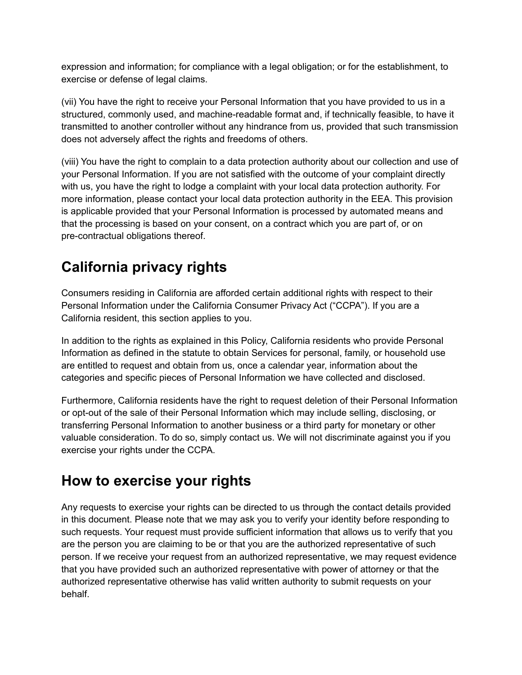expression and information; for compliance with a legal obligation; or for the establishment, to exercise or defense of legal claims.

(vii) You have the right to receive your Personal Information that you have provided to us in a structured, commonly used, and machine-readable format and, if technically feasible, to have it transmitted to another controller without any hindrance from us, provided that such transmission does not adversely affect the rights and freedoms of others.

(viii) You have the right to complain to a data protection authority about our collection and use of your Personal Information. If you are not satisfied with the outcome of your complaint directly with us, you have the right to lodge a complaint with your local data protection authority. For more information, please contact your local data protection authority in the EEA. This provision is applicable provided that your Personal Information is processed by automated means and that the processing is based on your consent, on a contract which you are part of, or on pre-contractual obligations thereof.

# **California privacy rights**

Consumers residing in California are afforded certain additional rights with respect to their Personal Information under the California Consumer Privacy Act ("CCPA"). If you are a California resident, this section applies to you.

In addition to the rights as explained in this Policy, California residents who provide Personal Information as defined in the statute to obtain Services for personal, family, or household use are entitled to request and obtain from us, once a calendar year, information about the categories and specific pieces of Personal Information we have collected and disclosed.

Furthermore, California residents have the right to request deletion of their Personal Information or opt-out of the sale of their Personal Information which may include selling, disclosing, or transferring Personal Information to another business or a third party for monetary or other valuable consideration. To do so, simply contact us. We will not discriminate against you if you exercise your rights under the CCPA.

#### **How to exercise your rights**

Any requests to exercise your rights can be directed to us through the contact details provided in this document. Please note that we may ask you to verify your identity before responding to such requests. Your request must provide sufficient information that allows us to verify that you are the person you are claiming to be or that you are the authorized representative of such person. If we receive your request from an authorized representative, we may request evidence that you have provided such an authorized representative with power of attorney or that the authorized representative otherwise has valid written authority to submit requests on your behalf.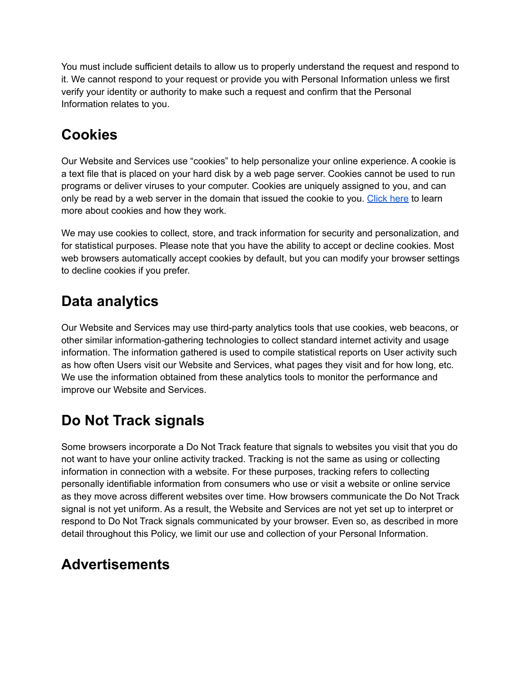You must include sufficient details to allow us to properly understand the request and respond to it. We cannot respond to your request or provide you with Personal Information unless we first verify your identity or authority to make such a request and confirm that the Personal Information relates to you.

#### **Cookies**

Our Website and Services use "cookies" to help personalize your online experience. A cookie is a text file that is placed on your hard disk by a web page server. Cookies cannot be used to run programs or deliver viruses to your computer. Cookies are uniquely assigned to you, and can only be read by a web server in the domain that issued the cookie to you. [Click](https://www.websitepolicies.com/blog/cookies) here to learn more about cookies and how they work.

We may use cookies to collect, store, and track information for security and personalization, and for statistical purposes. Please note that you have the ability to accept or decline cookies. Most web browsers automatically accept cookies by default, but you can modify your browser settings to decline cookies if you prefer.

#### **Data analytics**

Our Website and Services may use third-party analytics tools that use cookies, web beacons, or other similar information-gathering technologies to collect standard internet activity and usage information. The information gathered is used to compile statistical reports on User activity such as how often Users visit our Website and Services, what pages they visit and for how long, etc. We use the information obtained from these analytics tools to monitor the performance and improve our Website and Services.

# **Do Not Track signals**

Some browsers incorporate a Do Not Track feature that signals to websites you visit that you do not want to have your online activity tracked. Tracking is not the same as using or collecting information in connection with a website. For these purposes, tracking refers to collecting personally identifiable information from consumers who use or visit a website or online service as they move across different websites over time. How browsers communicate the Do Not Track signal is not yet uniform. As a result, the Website and Services are not yet set up to interpret or respond to Do Not Track signals communicated by your browser. Even so, as described in more detail throughout this Policy, we limit our use and collection of your Personal Information.

#### **Advertisements**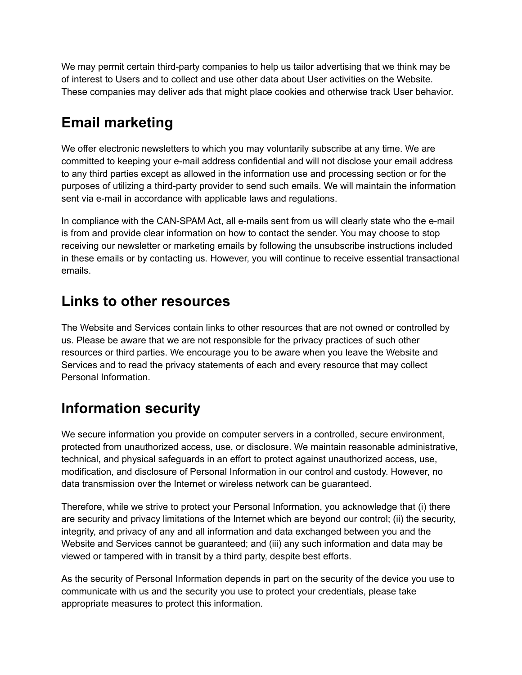We may permit certain third-party companies to help us tailor advertising that we think may be of interest to Users and to collect and use other data about User activities on the Website. These companies may deliver ads that might place cookies and otherwise track User behavior.

# **Email marketing**

We offer electronic newsletters to which you may voluntarily subscribe at any time. We are committed to keeping your e-mail address confidential and will not disclose your email address to any third parties except as allowed in the information use and processing section or for the purposes of utilizing a third-party provider to send such emails. We will maintain the information sent via e-mail in accordance with applicable laws and regulations.

In compliance with the CAN-SPAM Act, all e-mails sent from us will clearly state who the e-mail is from and provide clear information on how to contact the sender. You may choose to stop receiving our newsletter or marketing emails by following the unsubscribe instructions included in these emails or by contacting us. However, you will continue to receive essential transactional emails.

#### **Links to other resources**

The Website and Services contain links to other resources that are not owned or controlled by us. Please be aware that we are not responsible for the privacy practices of such other resources or third parties. We encourage you to be aware when you leave the Website and Services and to read the privacy statements of each and every resource that may collect Personal Information.

# **Information security**

We secure information you provide on computer servers in a controlled, secure environment, protected from unauthorized access, use, or disclosure. We maintain reasonable administrative, technical, and physical safeguards in an effort to protect against unauthorized access, use, modification, and disclosure of Personal Information in our control and custody. However, no data transmission over the Internet or wireless network can be guaranteed.

Therefore, while we strive to protect your Personal Information, you acknowledge that (i) there are security and privacy limitations of the Internet which are beyond our control; (ii) the security, integrity, and privacy of any and all information and data exchanged between you and the Website and Services cannot be guaranteed; and (iii) any such information and data may be viewed or tampered with in transit by a third party, despite best efforts.

As the security of Personal Information depends in part on the security of the device you use to communicate with us and the security you use to protect your credentials, please take appropriate measures to protect this information.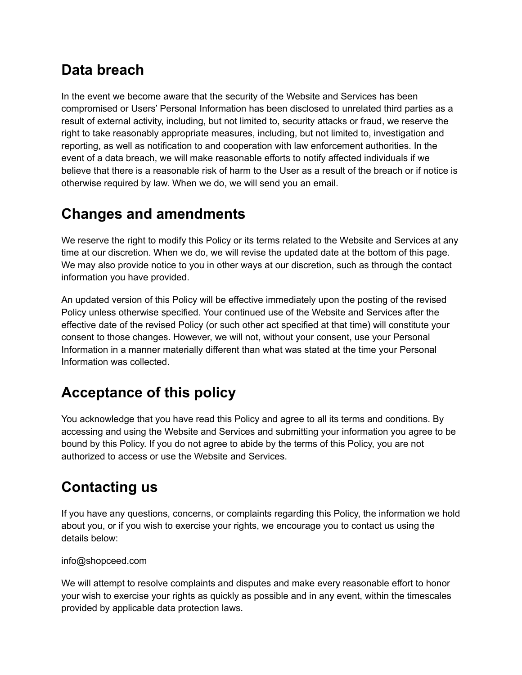#### **Data breach**

In the event we become aware that the security of the Website and Services has been compromised or Users' Personal Information has been disclosed to unrelated third parties as a result of external activity, including, but not limited to, security attacks or fraud, we reserve the right to take reasonably appropriate measures, including, but not limited to, investigation and reporting, as well as notification to and cooperation with law enforcement authorities. In the event of a data breach, we will make reasonable efforts to notify affected individuals if we believe that there is a reasonable risk of harm to the User as a result of the breach or if notice is otherwise required by law. When we do, we will send you an email.

#### **Changes and amendments**

We reserve the right to modify this Policy or its terms related to the Website and Services at any time at our discretion. When we do, we will revise the updated date at the bottom of this page. We may also provide notice to you in other ways at our discretion, such as through the contact information you have provided.

An updated version of this Policy will be effective immediately upon the posting of the revised Policy unless otherwise specified. Your continued use of the Website and Services after the effective date of the revised Policy (or such other act specified at that time) will constitute your consent to those changes. However, we will not, without your consent, use your Personal Information in a manner materially different than what was stated at the time your Personal Information was collected.

# **Acceptance of this policy**

You acknowledge that you have read this Policy and agree to all its terms and conditions. By accessing and using the Website and Services and submitting your information you agree to be bound by this Policy. If you do not agree to abide by the terms of this Policy, you are not authorized to access or use the Website and Services.

# **Contacting us**

If you have any questions, concerns, or complaints regarding this Policy, the information we hold about you, or if you wish to exercise your rights, we encourage you to contact us using the details below:

#### info@shopceed.com

We will attempt to resolve complaints and disputes and make every reasonable effort to honor your wish to exercise your rights as quickly as possible and in any event, within the timescales provided by applicable data protection laws.